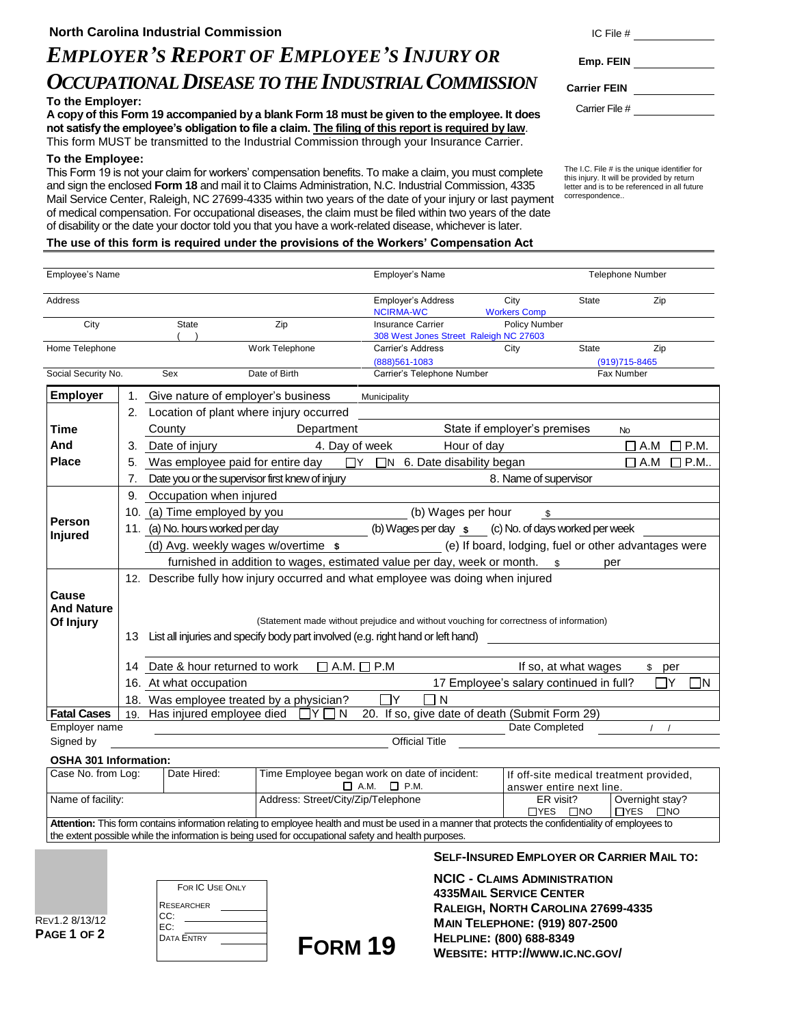# *EMPLOYER'S REPORT OF EMPLOYEE'S INJURY OR* **Emp. FEIN** *OCCUPATIONAL DISEASE TO THE INDUSTRIAL COMMISSION* **Carrier FEIN**

# **To the Employer:**

**A copy of this Form 19 accompanied by a blank Form 18 must be given to the employee. It does not satisfy the employee's obligation to file a claim. The filing of this report is required by law**. This form MUST be transmitted to the Industrial Commission through your Insurance Carrier.

#### **To the Employee:**

This Form 19 is not your claim for workers' compensation benefits. To make a claim, you must complete and sign the enclosed **Form 18** and mail it to Claims Administration, N.C. Industrial Commission, 4335 Mail Service Center, Raleigh, NC 27699-4335 within two years of the date of your injury or last payment of medical compensation. For occupational diseases, the claim must be filed within two years of the date of disability or the date your doctor told you that you have a work-related disease, whichever is later.

| 10 J III. T    |  |
|----------------|--|
| Emp. FEIN      |  |
| arrier FEIN    |  |
| Carrier File # |  |

The I.C. File # is the unique identifier for this injury. It will be provided by return letter and is to be referenced in all future correspondence..

# **The use of this form is required under the provisions of the Workers' Compensation Act**

| <b>Employee's Name</b>                                                                                                                               |                                                                                                        |                                                                                                                          |                                               | Employer's Name                                                            |                                             | <b>Telephone Number</b>                              |  |  |
|------------------------------------------------------------------------------------------------------------------------------------------------------|--------------------------------------------------------------------------------------------------------|--------------------------------------------------------------------------------------------------------------------------|-----------------------------------------------|----------------------------------------------------------------------------|---------------------------------------------|------------------------------------------------------|--|--|
| <b>Address</b>                                                                                                                                       |                                                                                                        |                                                                                                                          |                                               | <b>Employer's Address</b><br><b>NCIRMA-WC</b>                              | City<br><b>State</b><br><b>Workers Comp</b> | Zip                                                  |  |  |
| City                                                                                                                                                 |                                                                                                        | State                                                                                                                    | Zip                                           | <b>Insurance Carrier</b>                                                   | Policy Number                               |                                                      |  |  |
| Home Telephone                                                                                                                                       |                                                                                                        |                                                                                                                          | Work Telephone                                | 308 West Jones Street Raleigh NC 27603<br>Carrier's Address                | <b>State</b>                                |                                                      |  |  |
|                                                                                                                                                      |                                                                                                        |                                                                                                                          |                                               | (888) 561-1083                                                             | City                                        | Zip<br>$(919)715 - 8465$                             |  |  |
| Social Security No.                                                                                                                                  |                                                                                                        | Sex                                                                                                                      | Date of Birth                                 | Carrier's Telephone Number                                                 |                                             | Fax Number                                           |  |  |
| <b>Employer</b>                                                                                                                                      |                                                                                                        | Give nature of employer's business<br>Municipality                                                                       |                                               |                                                                            |                                             |                                                      |  |  |
|                                                                                                                                                      |                                                                                                        | 2. Location of plant where injury occurred                                                                               |                                               |                                                                            |                                             |                                                      |  |  |
| Time                                                                                                                                                 |                                                                                                        | County                                                                                                                   | Department                                    |                                                                            | State if employer's premises                | <b>No</b>                                            |  |  |
| And                                                                                                                                                  |                                                                                                        | Date of injury                                                                                                           | 4. Day of week                                | Hour of day                                                                |                                             | $\square$ P.M.<br>$\Box$ A.M                         |  |  |
| <b>Place</b>                                                                                                                                         |                                                                                                        | 5. Was employee paid for entire day                                                                                      |                                               | $\Box Y$ $\Box N$ 6. Date disability began                                 |                                             | $\square$ P.M<br>$\Box$ A.M                          |  |  |
|                                                                                                                                                      | 7.                                                                                                     | Date you or the supervisor first knew of injury                                                                          |                                               |                                                                            | 8. Name of supervisor                       |                                                      |  |  |
|                                                                                                                                                      |                                                                                                        | 9. Occupation when injured                                                                                               |                                               |                                                                            |                                             |                                                      |  |  |
|                                                                                                                                                      |                                                                                                        | 10. (a) Time employed by you                                                                                             |                                               | (b) Wages per hour                                                         | \$                                          |                                                      |  |  |
| Person                                                                                                                                               | (b) Wages per day $\underline{\$}$ (c) No. of days worked per week<br>11. (a) No. hours worked per day |                                                                                                                          |                                               |                                                                            |                                             |                                                      |  |  |
| <b>Injured</b>                                                                                                                                       |                                                                                                        | (d) Avg. weekly wages w/overtime \$                                                                                      |                                               |                                                                            |                                             | (e) If board, lodging, fuel or other advantages were |  |  |
|                                                                                                                                                      |                                                                                                        |                                                                                                                          |                                               | furnished in addition to wages, estimated value per day, week or month. \$ |                                             | per                                                  |  |  |
|                                                                                                                                                      |                                                                                                        | 12. Describe fully how injury occurred and what employee was doing when injured                                          |                                               |                                                                            |                                             |                                                      |  |  |
| Cause                                                                                                                                                |                                                                                                        |                                                                                                                          |                                               |                                                                            |                                             |                                                      |  |  |
| <b>And Nature</b>                                                                                                                                    |                                                                                                        |                                                                                                                          |                                               |                                                                            |                                             |                                                      |  |  |
| Of Injury                                                                                                                                            |                                                                                                        | (Statement made without prejudice and without vouching for correctness of information)                                   |                                               |                                                                            |                                             |                                                      |  |  |
|                                                                                                                                                      |                                                                                                        | 13 List all injuries and specify body part involved (e.g. right hand or left hand)                                       |                                               |                                                                            |                                             |                                                      |  |  |
|                                                                                                                                                      |                                                                                                        |                                                                                                                          |                                               |                                                                            |                                             |                                                      |  |  |
|                                                                                                                                                      | 14                                                                                                     | Date & hour returned to work<br>$\Box$ A.M. $\Box$ P.M<br>If so, at what wages<br>\$ per                                 |                                               |                                                                            |                                             |                                                      |  |  |
|                                                                                                                                                      |                                                                                                        | 17 Employee's salary continued in full?<br>16. At what occupation<br>Y<br>٦N<br>18. Was employee treated by a physician? |                                               |                                                                            |                                             |                                                      |  |  |
| <b>Fatal Cases</b>                                                                                                                                   |                                                                                                        | 19. Has injured employee died                                                                                            | $\overline{\Box}$ Y $\Box$ N                  | N<br>20. If so, give date of death (Submit Form 29)                        |                                             |                                                      |  |  |
| Employer name                                                                                                                                        |                                                                                                        |                                                                                                                          |                                               |                                                                            | Date Completed                              |                                                      |  |  |
| Signed by                                                                                                                                            | <b>Official Title</b>                                                                                  |                                                                                                                          |                                               |                                                                            |                                             |                                                      |  |  |
| <b>OSHA 301 Information:</b>                                                                                                                         |                                                                                                        |                                                                                                                          |                                               |                                                                            |                                             |                                                      |  |  |
| Case No. from Log:                                                                                                                                   |                                                                                                        | Date Hired:                                                                                                              | Time Employee began work on date of incident: |                                                                            |                                             | If off-site medical treatment provided,              |  |  |
|                                                                                                                                                      |                                                                                                        |                                                                                                                          | $\Box$ A.M.                                   | $\Box$ P.M.                                                                | answer entire next line.                    |                                                      |  |  |
|                                                                                                                                                      | Name of facility:<br>Address: Street/City/Zip/Telephone                                                |                                                                                                                          |                                               | ER visit?<br>$\Box$ YES<br>$\square$ NO                                    | Overnight stay?<br>$\Box$ YES $\Box$ NO     |                                                      |  |  |
| Attention: This form contains information relating to employee health and must be used in a manner that protects the confidentiality of employees to |                                                                                                        |                                                                                                                          |                                               |                                                                            |                                             |                                                      |  |  |
|                                                                                                                                                      | the extent possible while the information is being used for occupational safety and health purposes.   |                                                                                                                          |                                               |                                                                            |                                             |                                                      |  |  |

**FORM 19**

**SELF-INSURED EMPLOYER OR CARRIER MAIL TO:**

**NCIC - CLAIMS ADMINISTRATION 4335MAIL SERVICE CENTER RALEIGH, NORTH CAROLINA 27699-4335 MAIN TELEPHONE: (919) 807-2500 HELPLINE: (800) 688-8349 WEBSITE: HTTP://WWW.IC.NC.GOV/**

REV1.2 8/13/12 **PAGE 1 OF 2**

| FOR IC USE ONLY          |  |  |  |  |  |  |
|--------------------------|--|--|--|--|--|--|
| <b>RESEARCHER</b><br>CC: |  |  |  |  |  |  |
| EC:                      |  |  |  |  |  |  |
| <b>DATA ENTRY</b>        |  |  |  |  |  |  |